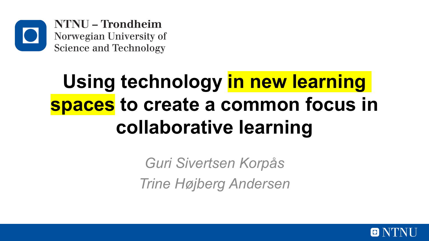

## **Using technology in new learning spaces to create a common focus in collaborative learning**

*Guri Sivertsen Korpås Trine Højberg Andersen*

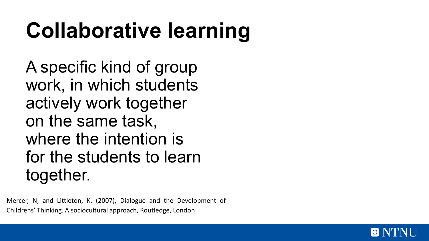# **Collaborative learning**

A specific kind of group work, in which students actively work together on the same task, where the intention is for the students to learn together.

Mercer, N, and Littleton, K. (2007), Dialogue and the Development of Childrens' Thinking. A sociocultural approach, Routledge, London

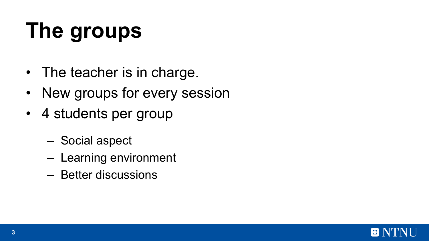# **The groups**

- The teacher is in charge.
- New groups for every session
- 4 students per group
	- Social aspect
	- Learning environment
	- Better discussions

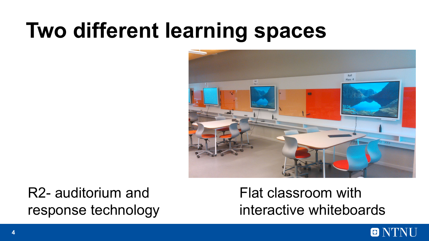# **Two different learning spaces**



R2- auditorium and response technology

Flat classroom with interactive whiteboards

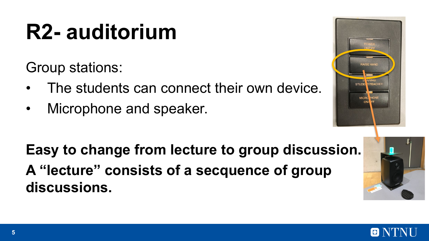# **R2- auditorium**

Group stations:

- The students can connect their own device.
- Microphone and speaker.

### **Easy to change from lecture to group discussion. A "lecture" consists of a secquence of group discussions.**





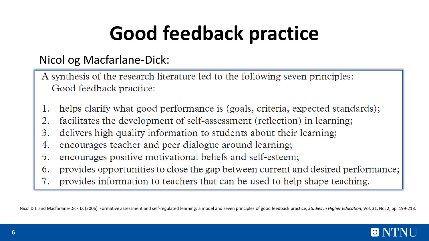## **Good feedback practice**

#### Nicol og Macfarlane-Dick:

- A synthesis of the research literature led to the following seven principles: Good feedback practice:
- helps clarify what good performance is (goals, criteria, expected standards); 1.
- 2. facilitates the development of self-assessment (reflection) in learning;
- delivers high quality information to students about their learning; 3.
- 4. encourages teacher and peer dialogue around learning;
- $5<sub>1</sub>$ encourages positive motivational beliefs and self-esteem;
- provides opportunities to close the gap between current and desired performance; 6.
- 7. provides information to teachers that can be used to help shape teaching.

Nicol D.J. and Macfarlane-Dick D. (2006). Formative assessment and self-regulated learning: a model and seven principles of good feedback practice, *Studies in Higher Education*, Vol. 31, No. 2, pp. 199-218.

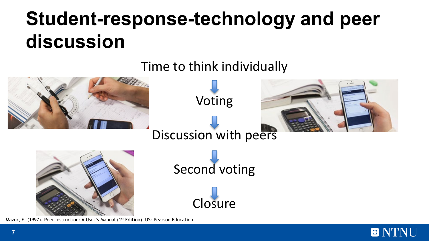## **Student-response-technology and peer discussion**

#### Time to think individually



Mazur, E. (1997). Peer Instruction: A User's Manual (1st Edition). US: Pearson Education.

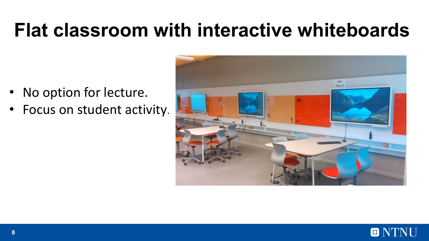### **Flat classroom with interactive whiteboards**

- No option for lecture.
- Focus on student activity.



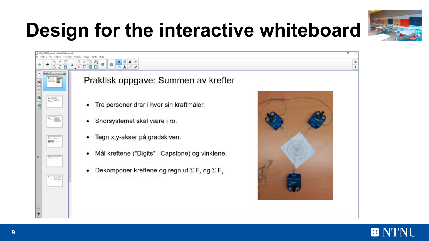## **Design for the interactive whiteboard**



8

 $\pm$ 





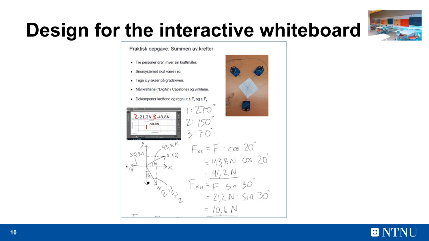## **Design for the interactive whiteboard**



Praktisk oppgave: Summen av krefter

- · Tre personer drar i hver sin kraftmåler.
- · Snorsystemet skal være i ro.
- · Tegn x,y-akser på gradskiven.
- · Mål kreftene ("Digits" i Capstone) og vinklene.
- Dekomponer kreftene og regn ut  $\Sigma$  F, og  $\Sigma$  F,



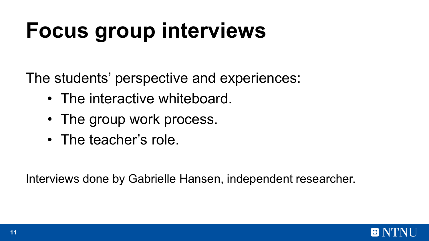# **Focus group interviews**

The students' perspective and experiences:

- The interactive whiteboard.
- The group work process.
- The teacher's role.

Interviews done by Gabrielle Hansen, independent researcher.

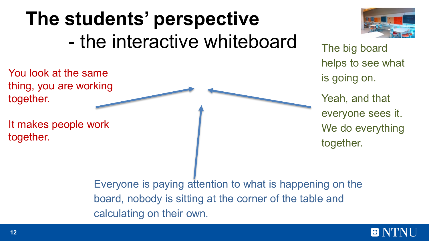### **The students' perspective** - the interactive whiteboard

You look at the same thing, you are working together. It makes people work together.



The big board helps to see what is going on.

Yeah, and that everyone sees it. We do everything together.

Everyone is paying attention to what is happening on the board, nobody is sitting at the corner of the table and calculating on their own.

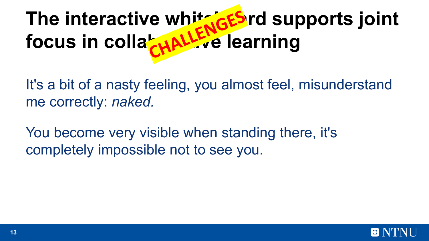# **The interactive whit CES rd supports joint focus in colla<sub>CHALL</sub>Ce learning**

It's a bit of a nasty feeling, you almost feel, misunderstand me correctly: *naked.*

You become very visible when standing there, it's completely impossible not to see you.

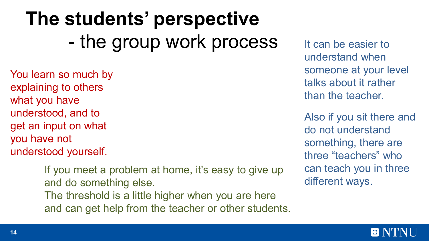## **The students' perspective** - the group work process

You learn so much by explaining to others what you have understood, and to get an input on what you have not understood yourself.

> If you meet a problem at home, it's easy to give up and do something else. The threshold is a little higher when you are here and can get help from the teacher or other students.

It can be easier to understand when someone at your level talks about it rather than the teacher.

Also if you sit there and do not understand something, there are three "teachers" who can teach you in three different ways.

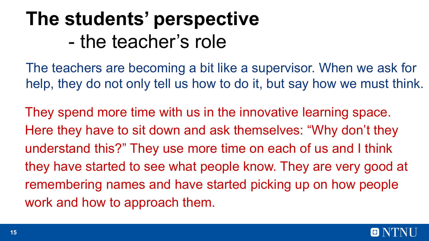### **The students' perspective** - the teacher's role

The teachers are becoming a bit like a supervisor. When we ask for help, they do not only tell us how to do it, but say how we must think.

They spend more time with us in the innovative learning space. Here they have to sit down and ask themselves: "Why don't they understand this?" They use more time on each of us and I think they have started to see what people know. They are very good at remembering names and have started picking up on how people work and how to approach them.